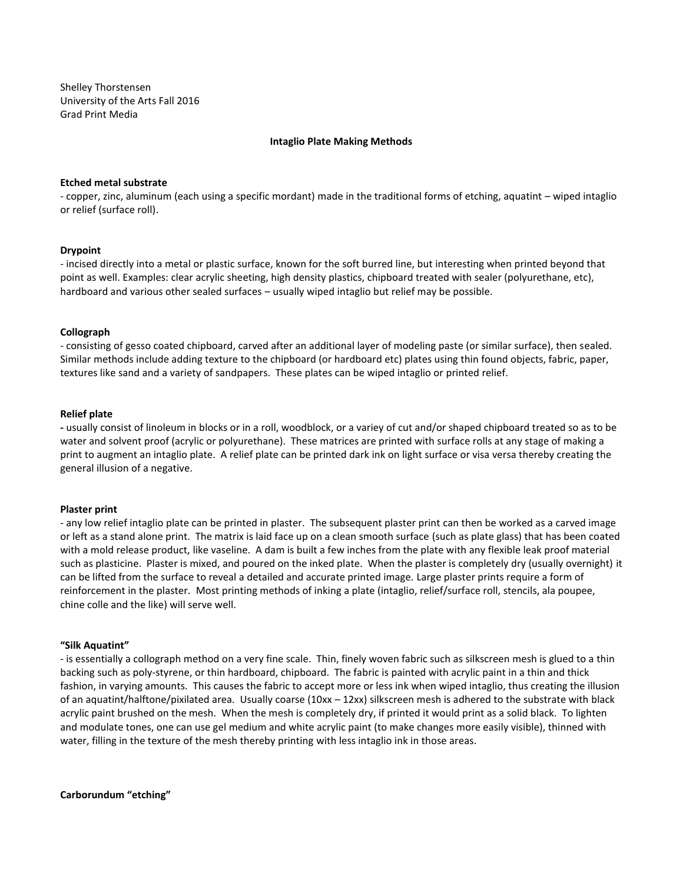Shelley Thorstensen University of the Arts Fall 2016 Grad Print Media

### **Intaglio Plate Making Methods**

#### **Etched metal substrate**

- copper, zinc, aluminum (each using a specific mordant) made in the traditional forms of etching, aquatint – wiped intaglio or relief (surface roll).

## **Drypoint**

- incised directly into a metal or plastic surface, known for the soft burred line, but interesting when printed beyond that point as well. Examples: clear acrylic sheeting, high density plastics, chipboard treated with sealer (polyurethane, etc), hardboard and various other sealed surfaces – usually wiped intaglio but relief may be possible.

#### **Collograph**

- consisting of gesso coated chipboard, carved after an additional layer of modeling paste (or similar surface), then sealed. Similar methods include adding texture to the chipboard (or hardboard etc) plates using thin found objects, fabric, paper, textures like sand and a variety of sandpapers. These plates can be wiped intaglio or printed relief.

## **Relief plate**

**-** usually consist of linoleum in blocks or in a roll, woodblock, or a variey of cut and/or shaped chipboard treated so as to be water and solvent proof (acrylic or polyurethane). These matrices are printed with surface rolls at any stage of making a print to augment an intaglio plate. A relief plate can be printed dark ink on light surface or visa versa thereby creating the general illusion of a negative.

#### **Plaster print**

- any low relief intaglio plate can be printed in plaster. The subsequent plaster print can then be worked as a carved image or left as a stand alone print. The matrix is laid face up on a clean smooth surface (such as plate glass) that has been coated with a mold release product, like vaseline. A dam is built a few inches from the plate with any flexible leak proof material such as plasticine. Plaster is mixed, and poured on the inked plate. When the plaster is completely dry (usually overnight) it can be lifted from the surface to reveal a detailed and accurate printed image. Large plaster prints require a form of reinforcement in the plaster. Most printing methods of inking a plate (intaglio, relief/surface roll, stencils, ala poupee, chine colle and the like) will serve well.

#### **"Silk Aquatint"**

- is essentially a collograph method on a very fine scale. Thin, finely woven fabric such as silkscreen mesh is glued to a thin backing such as poly-styrene, or thin hardboard, chipboard. The fabric is painted with acrylic paint in a thin and thick fashion, in varying amounts. This causes the fabric to accept more or less ink when wiped intaglio, thus creating the illusion of an aquatint/halftone/pixilated area. Usually coarse (10xx – 12xx) silkscreen mesh is adhered to the substrate with black acrylic paint brushed on the mesh. When the mesh is completely dry, if printed it would print as a solid black. To lighten and modulate tones, one can use gel medium and white acrylic paint (to make changes more easily visible), thinned with water, filling in the texture of the mesh thereby printing with less intaglio ink in those areas.

**Carborundum "etching"**